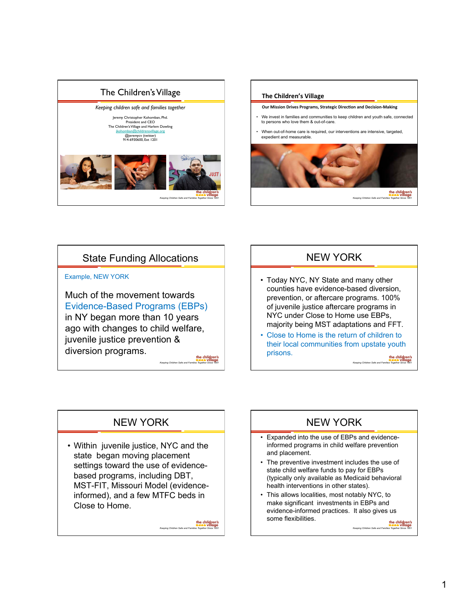



# State Funding Allocations

Example, NEW YORK

Much of the movement towards Evidence-Based Programs (EBPs) in NY began more than 10 years ago with changes to child welfare, juvenile justice prevention & diversion programs.

*Keeping Children Safe and Families Together Since 1851* 

*Keeping Children Safe and Families Together Since 1851* 

the children's<br>and a village

# NEW YORK

- Today NYC, NY State and many other counties have evidence-based diversion, prevention, or aftercare programs. 100% of juvenile justice aftercare programs in NYC under Close to Home use EBPs, majority being MST adaptations and FFT.
- *Keeping Children's*<br> **Keeping Children** Since 1851 • Close to Home is the return of children to their local communities from upstate youth prisons.

# NEW YORK

• Within juvenile justice, NYC and the state began moving placement settings toward the use of evidencebased programs, including DBT, MST-FIT, Missouri Model (evidenceinformed), and a few MTFC beds in Close to Home.



- Expanded into the use of EBPs and evidenceinformed programs in child welfare prevention and placement.
- The preventive investment includes the use of state child welfare funds to pay for EBPs (typically only available as Medicaid behavioral health interventions in other states).
- This allows localities, most notably NYC, to make significant investments in EBPs and evidence-informed practices. It also gives us some flexibilities.

*Keeping Children Safe and Families Together Since 1851*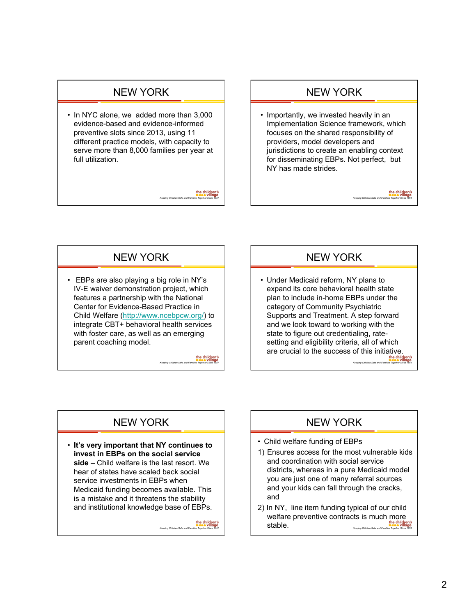#### NEW YORK

• In NYC alone, we added more than 3,000 evidence-based and evidence-informed preventive slots since 2013, using 11 different practice models, with capacity to serve more than 8,000 families per year at full utilization.

#### NEW YORK

• Importantly, we invested heavily in an Implementation Science framework, which focuses on the shared responsibility of providers, model developers and jurisdictions to create an enabling context for disseminating EBPs. Not perfect, but NY has made strides.

# NEW YORK

• EBPs are also playing a big role in NY's IV-E waiver demonstration project, which features a partnership with the National Center for Evidence-Based Practice in Child Welfare (http://www.ncebpcw.org/) to integrate CBT+ behavioral health services with foster care, as well as an emerging parent coaching model.

> the children's<br>Addin village *Keeping Children Safe and Families Together Since 1851*

*Keeping Children Safe and Families Together Since 1851* 

the children's

## NEW YORK

*Keeping Children Safe and Families Together Since 1851* 

the children's

**Keeping Children's**<br> **Children's**<br> *Keeping Together Since 1851* • Under Medicaid reform, NY plans to expand its core behavioral health state plan to include in-home EBPs under the category of Community Psychiatric Supports and Treatment. A step forward and we look toward to working with the state to figure out credentialing, ratesetting and eligibility criteria, all of which are crucial to the success of this initiative.

# NEW YORK

• **It's very important that NY continues to invest in EBPs on the social service side** – Child welfare is the last resort. We hear of states have scaled back social service investments in EBPs when Medicaid funding becomes available. This is a mistake and it threatens the stability and institutional knowledge base of EBPs.

*Keeping Children Safe and Families Together Since 1851* 

## NEW YORK

- Child welfare funding of EBPs
- 1) Ensures access for the most vulnerable kids and coordination with social service districts, whereas in a pure Medicaid model you are just one of many referral sources and your kids can fall through the cracks, and
- **the children's**<br>
and Families Together Since 1851 2) In NY, line item funding typical of our child welfare preventive contracts is much more stable.